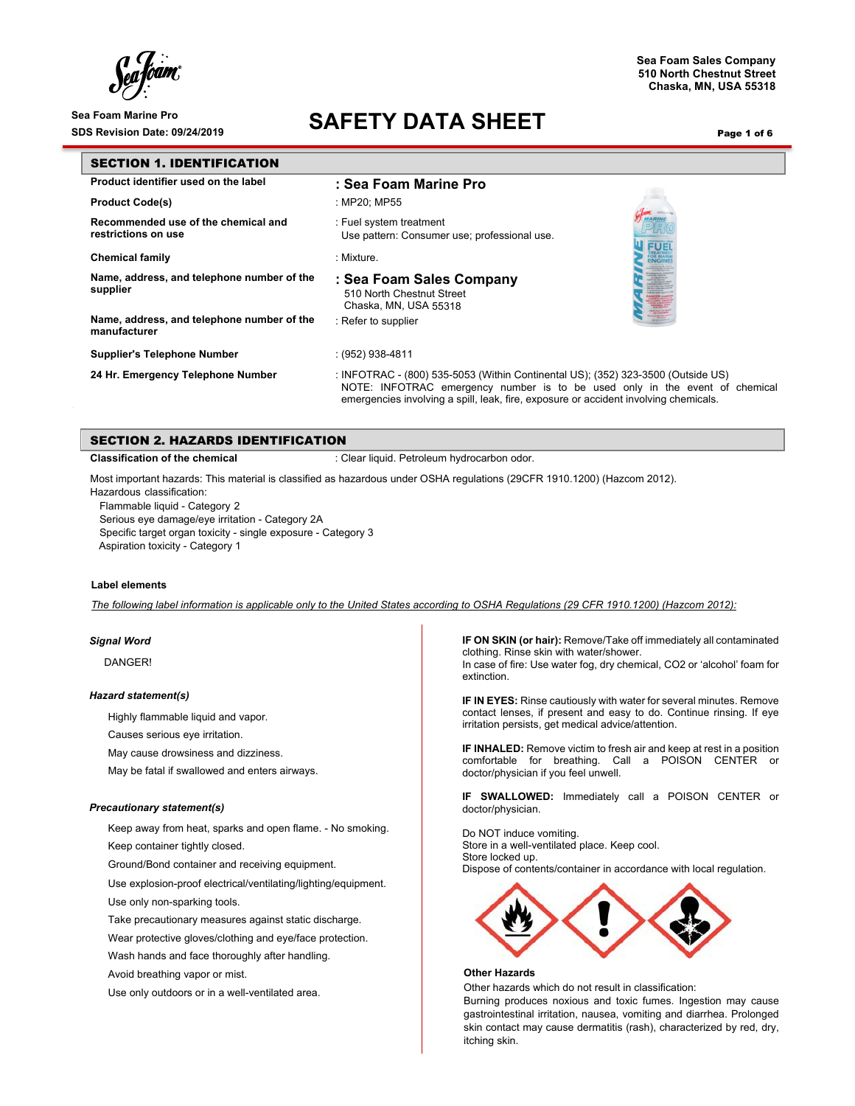### Sea Foam Marine Pro<br>SDS Revision Date: 09/24/2019<br>**SAFETY DATA SHEET**

Page 1 of 6

**Sea Foam Sales Company 510 North Chestnut Street Chaska, MN, USA 55318**

| <b>SECTION 1. IDENTIFICATION</b>                           |                                                                                                                                                                                                                                                         |  |  |  |
|------------------------------------------------------------|---------------------------------------------------------------------------------------------------------------------------------------------------------------------------------------------------------------------------------------------------------|--|--|--|
| Product identifier used on the label                       | : Sea Foam Marine Pro                                                                                                                                                                                                                                   |  |  |  |
| <b>Product Code(s)</b>                                     | : MP20: MP55                                                                                                                                                                                                                                            |  |  |  |
| Recommended use of the chemical and<br>restrictions on use | : Fuel system treatment<br>Use pattern: Consumer use; professional use.<br><b>FUE</b>                                                                                                                                                                   |  |  |  |
| <b>Chemical family</b>                                     | : Mixture.                                                                                                                                                                                                                                              |  |  |  |
| Name, address, and telephone number of the<br>supplier     | : Sea Foam Sales Company<br>510 North Chestnut Street<br>Chaska, MN, USA 55318                                                                                                                                                                          |  |  |  |
| Name, address, and telephone number of the<br>manufacturer | : Refer to supplier                                                                                                                                                                                                                                     |  |  |  |
| <b>Supplier's Telephone Number</b>                         | : (952) 938-4811                                                                                                                                                                                                                                        |  |  |  |
| 24 Hr. Emergency Telephone Number                          | : INFOTRAC - (800) 535-5053 (Within Continental US); (352) 323-3500 (Outside US)<br>NOTE: INFOTRAC emergency number is to be used only in the event of chemical<br>emergencies involving a spill, leak, fire, exposure or accident involving chemicals. |  |  |  |

### SECTION 2. HAZARDS IDENTIFICATION

**Classification of the chemical integral in the chemical classification of the chemical classification** 

Most important hazards: This material is classified as hazardous under OSHA regulations (29CFR 1910.1200) (Hazcom 2012).

Hazardous classification: Flammable liquid - Category 2

Serious eye damage/eye irritation - Category 2A Specific target organ toxicity - single exposure - Category 3 Aspiration toxicity - Category 1

### **Label elements**

*The following label information is applicable only to the United States according to OSHA Regulations (29 CFR 1910.1200) (Hazcom 2012):* 

### *Signal Word*

DANGER!

#### *Hazard statement(s)*

Highly flammable liquid and vapor.

Causes serious eye irritation.

May cause drowsiness and dizziness.

May be fatal if swallowed and enters airways.

### *Precautionary statement(s)*

Keep away from heat, sparks and open flame. - No smoking.

Keep container tightly closed.

Ground/Bond container and receiving equipment.

Use explosion-proof electrical/ventilating/lighting/equipment.

Use only non-sparking tools.

Take precautionary measures against static discharge.

Wear protective gloves/clothing and eye/face protection.

Wash hands and face thoroughly after handling.

Avoid breathing vapor or mist.

Use only outdoors or in a well-ventilated area.

**IF ON SKIN (or hair):** Remove/Take off immediately all contaminated clothing. Rinse skin with water/shower. In case of fire: Use water fog, dry chemical, CO2 or 'alcohol' foam for extinction.

**IF IN EYES:** Rinse cautiously with water for several minutes. Remove contact lenses, if present and easy to do. Continue rinsing. If eye irritation persists, get medical advice/attention.

**IF INHALED:** Remove victim to fresh air and keep at rest in a position comfortable for breathing. Call a POISON CENTER or doctor/physician if you feel unwell.

**IF SWALLOWED:** Immediately call a POISON CENTER or doctor/physician.

Do NOT induce vomiting. Store in a well-ventilated place. Keep cool. Store locked up. Dispose of contents/container in accordance with local regulation.



#### **Other Hazards**

Other hazards which do not result in classification:

Burning produces noxious and toxic fumes. Ingestion may cause gastrointestinal irritation, nausea, vomiting and diarrhea. Prolonged skin contact may cause dermatitis (rash), characterized by red, dry, itching skin.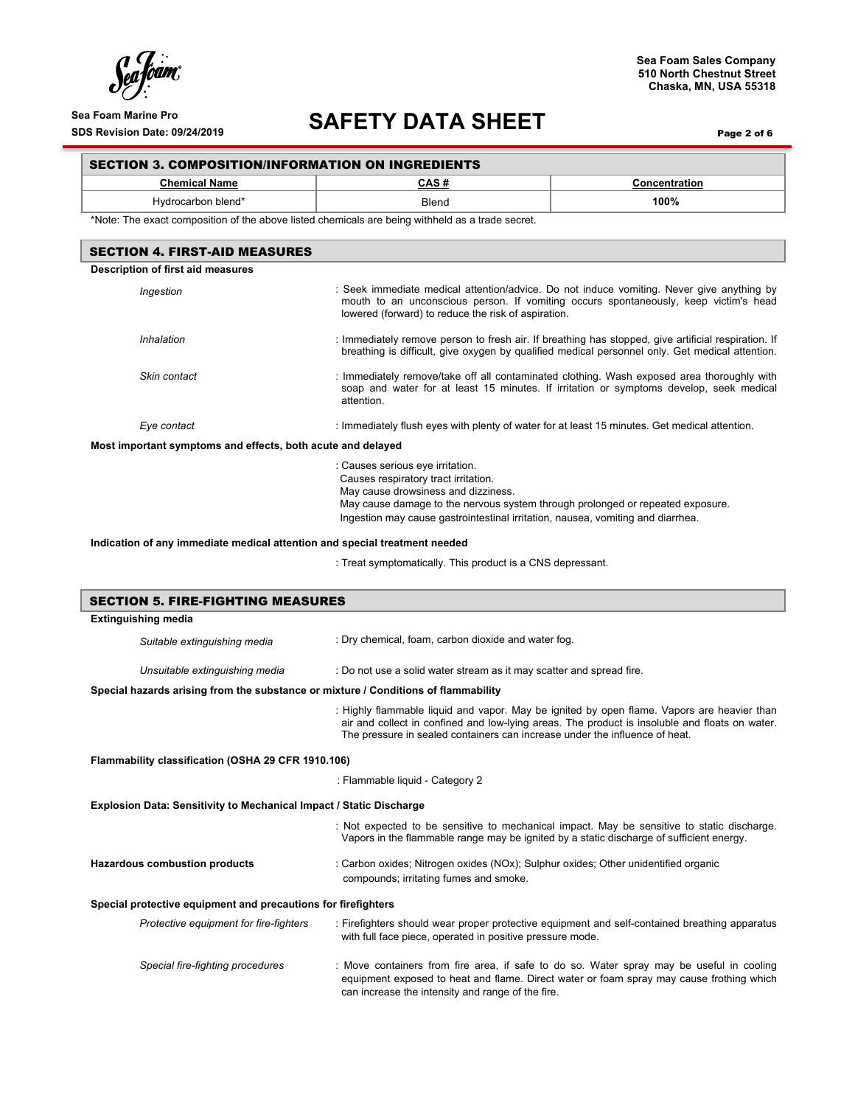$\int_{\mathcal{C}}^{1}$  $\boldsymbol{h}$ foam $\boldsymbol{v}$ 

## Sea Foam Marine Pro<br>SDS Revision Date: 09/24/2019<br>**SAFETY DATA SHEET**

Page 2 of 6

### SECTION 3. COMPOSITION/INFORMATION ON INGREDIENTS

| <b>Chemical Name</b>                                                                                                                                                                                                                                                                                                                                               | CAS#                                                                                                                                                                                                | Concentration                                                                                                                                                                                          |  |  |  |
|--------------------------------------------------------------------------------------------------------------------------------------------------------------------------------------------------------------------------------------------------------------------------------------------------------------------------------------------------------------------|-----------------------------------------------------------------------------------------------------------------------------------------------------------------------------------------------------|--------------------------------------------------------------------------------------------------------------------------------------------------------------------------------------------------------|--|--|--|
| Hydrocarbon blend*                                                                                                                                                                                                                                                                                                                                                 | <b>Blend</b>                                                                                                                                                                                        | 100%                                                                                                                                                                                                   |  |  |  |
| *Note: The exact composition of the above listed chemicals are being withheld as a trade secret.                                                                                                                                                                                                                                                                   |                                                                                                                                                                                                     |                                                                                                                                                                                                        |  |  |  |
| <b>SECTION 4. FIRST-AID MEASURES</b>                                                                                                                                                                                                                                                                                                                               |                                                                                                                                                                                                     |                                                                                                                                                                                                        |  |  |  |
| Description of first aid measures                                                                                                                                                                                                                                                                                                                                  |                                                                                                                                                                                                     |                                                                                                                                                                                                        |  |  |  |
| : Seek immediate medical attention/advice. Do not induce vomiting. Never give anything by<br>Ingestion<br>mouth to an unconscious person. If vomiting occurs spontaneously, keep victim's head<br>lowered (forward) to reduce the risk of aspiration.                                                                                                              |                                                                                                                                                                                                     |                                                                                                                                                                                                        |  |  |  |
| Inhalation                                                                                                                                                                                                                                                                                                                                                         |                                                                                                                                                                                                     | : Immediately remove person to fresh air. If breathing has stopped, give artificial respiration. If<br>breathing is difficult, give oxygen by qualified medical personnel only. Get medical attention. |  |  |  |
| Skin contact                                                                                                                                                                                                                                                                                                                                                       | : Immediately remove/take off all contaminated clothing. Wash exposed area thoroughly with<br>soap and water for at least 15 minutes. If irritation or symptoms develop, seek medical<br>attention. |                                                                                                                                                                                                        |  |  |  |
| Eye contact                                                                                                                                                                                                                                                                                                                                                        | : Immediately flush eyes with plenty of water for at least 15 minutes. Get medical attention.                                                                                                       |                                                                                                                                                                                                        |  |  |  |
| Most important symptoms and effects, both acute and delayed                                                                                                                                                                                                                                                                                                        |                                                                                                                                                                                                     |                                                                                                                                                                                                        |  |  |  |
| : Causes serious eye irritation.<br>Causes respiratory tract irritation.<br>May cause drowsiness and dizziness.<br>May cause damage to the nervous system through prolonged or repeated exposure.<br>Ingestion may cause gastrointestinal irritation, nausea, vomiting and diarrhea.<br>Indication of any immediate medical attention and special treatment needed |                                                                                                                                                                                                     |                                                                                                                                                                                                        |  |  |  |
|                                                                                                                                                                                                                                                                                                                                                                    | : Treat symptomatically. This product is a CNS depressant.                                                                                                                                          |                                                                                                                                                                                                        |  |  |  |
| <b>SECTION 5. FIRE-FIGHTING MEASURES</b>                                                                                                                                                                                                                                                                                                                           |                                                                                                                                                                                                     |                                                                                                                                                                                                        |  |  |  |
| <b>Extinguishing media</b>                                                                                                                                                                                                                                                                                                                                         |                                                                                                                                                                                                     |                                                                                                                                                                                                        |  |  |  |
| Suitable extinguishing media                                                                                                                                                                                                                                                                                                                                       | : Dry chemical, foam, carbon dioxide and water fog.                                                                                                                                                 |                                                                                                                                                                                                        |  |  |  |
| Unsuitable extinguishing media                                                                                                                                                                                                                                                                                                                                     | : Do not use a solid water stream as it may scatter and spread fire.                                                                                                                                |                                                                                                                                                                                                        |  |  |  |
| Special hazards arising from the substance or mixture / Conditions of flammability                                                                                                                                                                                                                                                                                 |                                                                                                                                                                                                     |                                                                                                                                                                                                        |  |  |  |
|                                                                                                                                                                                                                                                                                                                                                                    | The pressure in sealed containers can increase under the influence of heat.                                                                                                                         | : Highly flammable liquid and vapor. May be ignited by open flame. Vapors are heavier than<br>air and collect in confined and low-lying areas. The product is insoluble and floats on water.           |  |  |  |
| Flammability classification (OSHA 29 CFR 1910.106)                                                                                                                                                                                                                                                                                                                 |                                                                                                                                                                                                     |                                                                                                                                                                                                        |  |  |  |
| : Flammable liquid - Category 2                                                                                                                                                                                                                                                                                                                                    |                                                                                                                                                                                                     |                                                                                                                                                                                                        |  |  |  |
| <b>Explosion Data: Sensitivity to Mechanical Impact / Static Discharge</b>                                                                                                                                                                                                                                                                                         |                                                                                                                                                                                                     |                                                                                                                                                                                                        |  |  |  |
|                                                                                                                                                                                                                                                                                                                                                                    | Vapors in the flammable range may be ignited by a static discharge of sufficient energy.                                                                                                            | : Not expected to be sensitive to mechanical impact. May be sensitive to static discharge.                                                                                                             |  |  |  |
| Hazardous combustion products                                                                                                                                                                                                                                                                                                                                      | : Carbon oxides; Nitrogen oxides (NOx); Sulphur oxides; Other unidentified organic<br>compounds; irritating fumes and smoke.                                                                        |                                                                                                                                                                                                        |  |  |  |

### **Special protective equipment and precautions for firefighters**

| Protective equipment for fire-fighters | : Firefighters should wear proper protective equipment and self-contained breathing apparatus<br>with full face piece, operated in positive pressure mode.                                                                                |  |  |
|----------------------------------------|-------------------------------------------------------------------------------------------------------------------------------------------------------------------------------------------------------------------------------------------|--|--|
| Special fire-fighting procedures       | : Move containers from fire area, if safe to do so. Water spray may be useful in cooling<br>equipment exposed to heat and flame. Direct water or foam spray may cause frothing which<br>can increase the intensity and range of the fire. |  |  |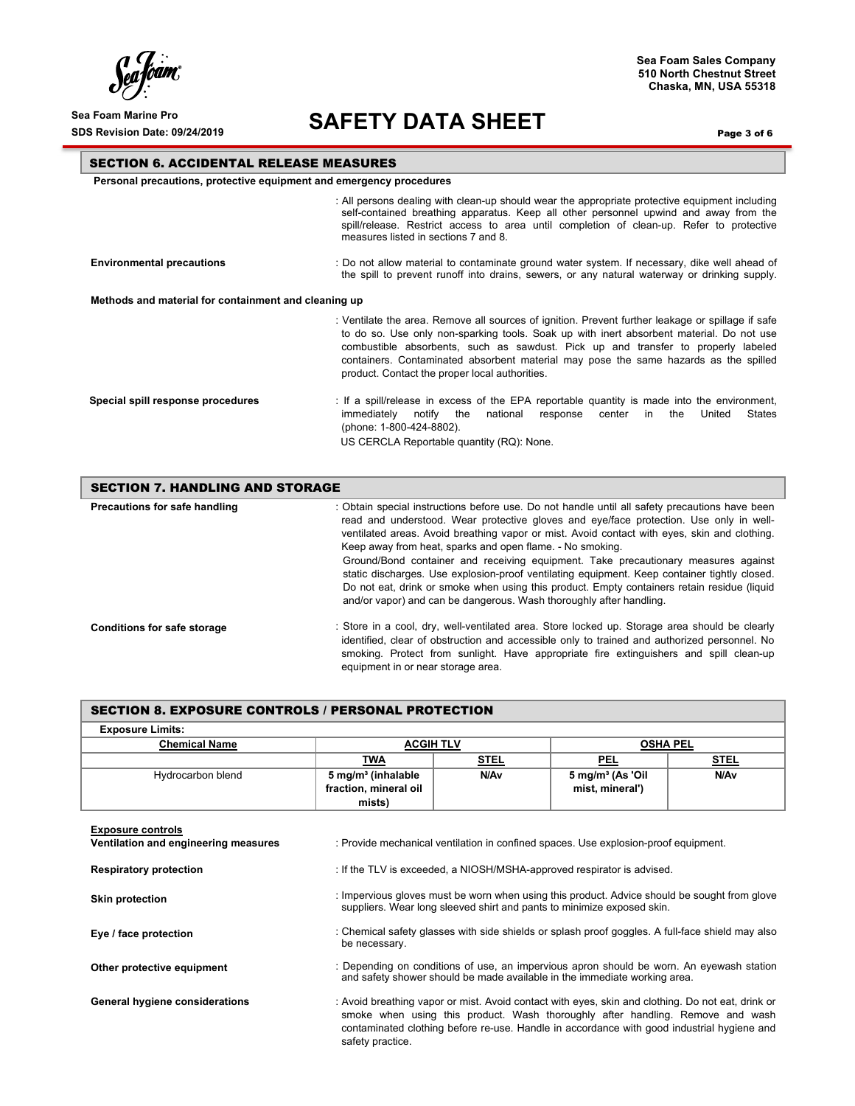$\int_{\ell}$ 'oam

### Sea Foam Marine Pro<br>SDS Revision Date: 09/24/2019<br>**SAFETY DATA SHEET**

Page 3 of 6

**Sea Foam Sales Company 510 North Chestnut Street Chaska, MN, USA 55318**

### SECTION 6. ACCIDENTAL RELEASE MEASURES

 **Personal precautions, protective equipment and emergency procedures** 

|                                                      | : All persons dealing with clean-up should wear the appropriate protective equipment including<br>self-contained breathing apparatus. Keep all other personnel upwind and away from the<br>spill/release. Restrict access to area until completion of clean-up. Refer to protective<br>measures listed in sections 7 and 8.                                                                                                  |  |  |  |  |
|------------------------------------------------------|------------------------------------------------------------------------------------------------------------------------------------------------------------------------------------------------------------------------------------------------------------------------------------------------------------------------------------------------------------------------------------------------------------------------------|--|--|--|--|
| <b>Environmental precautions</b>                     | : Do not allow material to contaminate ground water system. If necessary, dike well ahead of<br>the spill to prevent runoff into drains, sewers, or any natural waterway or drinking supply.                                                                                                                                                                                                                                 |  |  |  |  |
| Methods and material for containment and cleaning up |                                                                                                                                                                                                                                                                                                                                                                                                                              |  |  |  |  |
|                                                      | : Ventilate the area. Remove all sources of ignition. Prevent further leakage or spillage if safe<br>to do so. Use only non-sparking tools. Soak up with inert absorbent material. Do not use<br>combustible absorbents, such as sawdust. Pick up and transfer to properly labeled<br>containers. Contaminated absorbent material may pose the same hazards as the spilled<br>product. Contact the proper local authorities. |  |  |  |  |
| Special spill response procedures                    | : If a spill/release in excess of the EPA reportable quantity is made into the environment,<br>States<br>immediatelv<br>notify<br>national<br>response<br>center<br>the<br>United<br>the<br>in.<br>(phone: 1-800-424-8802).<br>US CERCLA Reportable quantity (RQ): None.                                                                                                                                                     |  |  |  |  |

| <b>SECTION 7. HANDLING AND STORAGE</b> |                                                                                                                                                                                                                                                                                                                                                                                                                                                                                                                                                                                                                                                                                                                   |  |  |  |
|----------------------------------------|-------------------------------------------------------------------------------------------------------------------------------------------------------------------------------------------------------------------------------------------------------------------------------------------------------------------------------------------------------------------------------------------------------------------------------------------------------------------------------------------------------------------------------------------------------------------------------------------------------------------------------------------------------------------------------------------------------------------|--|--|--|
| Precautions for safe handling          | : Obtain special instructions before use. Do not handle until all safety precautions have been<br>read and understood. Wear protective gloves and eye/face protection. Use only in well-<br>ventilated areas. Avoid breathing vapor or mist. Avoid contact with eyes, skin and clothing.<br>Keep away from heat, sparks and open flame. - No smoking.<br>Ground/Bond container and receiving equipment. Take precautionary measures against<br>static discharges. Use explosion-proof ventilating equipment. Keep container tightly closed.<br>Do not eat, drink or smoke when using this product. Empty containers retain residue (liquid<br>and/or vapor) and can be dangerous. Wash thoroughly after handling. |  |  |  |
| <b>Conditions for safe storage</b>     | : Store in a cool, dry, well-ventilated area. Store locked up. Storage area should be clearly<br>identified, clear of obstruction and accessible only to trained and authorized personnel. No<br>smoking. Protect from sunlight. Have appropriate fire extinguishers and spill clean-up<br>equipment in or near storage area.                                                                                                                                                                                                                                                                                                                                                                                     |  |  |  |

| SECTION 8. EXPOSURE CONTROLS / PERSONAL PROTECTION               |                                                                                                                                                                                                                                                                                   |                  |                                                |                 |  |  |
|------------------------------------------------------------------|-----------------------------------------------------------------------------------------------------------------------------------------------------------------------------------------------------------------------------------------------------------------------------------|------------------|------------------------------------------------|-----------------|--|--|
| <b>Exposure Limits:</b>                                          |                                                                                                                                                                                                                                                                                   |                  |                                                |                 |  |  |
| <b>Chemical Name</b>                                             |                                                                                                                                                                                                                                                                                   | <b>ACGIH TLV</b> |                                                | <b>OSHA PEL</b> |  |  |
|                                                                  | <b>STEL</b><br>TWA                                                                                                                                                                                                                                                                |                  | <b>PEL</b>                                     | <b>STEL</b>     |  |  |
| Hydrocarbon blend                                                | 5 mg/m <sup>3</sup> (inhalable<br>fraction, mineral oil<br>mists)                                                                                                                                                                                                                 | N/Av             | $5 \text{ mg/m}^3$ (As 'Oil<br>mist, mineral') | N/Av            |  |  |
| <b>Exposure controls</b><br>Ventilation and engineering measures | : Provide mechanical ventilation in confined spaces. Use explosion-proof equipment.                                                                                                                                                                                               |                  |                                                |                 |  |  |
| <b>Respiratory protection</b>                                    | : If the TLV is exceeded, a NIOSH/MSHA-approved respirator is advised.                                                                                                                                                                                                            |                  |                                                |                 |  |  |
| <b>Skin protection</b>                                           | : Impervious gloves must be worn when using this product. Advice should be sought from glove<br>suppliers. Wear long sleeved shirt and pants to minimize exposed skin.                                                                                                            |                  |                                                |                 |  |  |
| Eye / face protection                                            | : Chemical safety glasses with side shields or splash proof goggles. A full-face shield may also<br>be necessary.                                                                                                                                                                 |                  |                                                |                 |  |  |
| Other protective equipment                                       | : Depending on conditions of use, an impervious apron should be worn. An eyewash station<br>and safety shower should be made available in the immediate working area.                                                                                                             |                  |                                                |                 |  |  |
| General hygiene considerations                                   | : Avoid breathing vapor or mist. Avoid contact with eyes, skin and clothing. Do not eat, drink or<br>smoke when using this product. Wash thoroughly after handling. Remove and wash<br>contaminated clothing before re-use. Handle in accordance with good industrial hygiene and |                  |                                                |                 |  |  |

safety practice.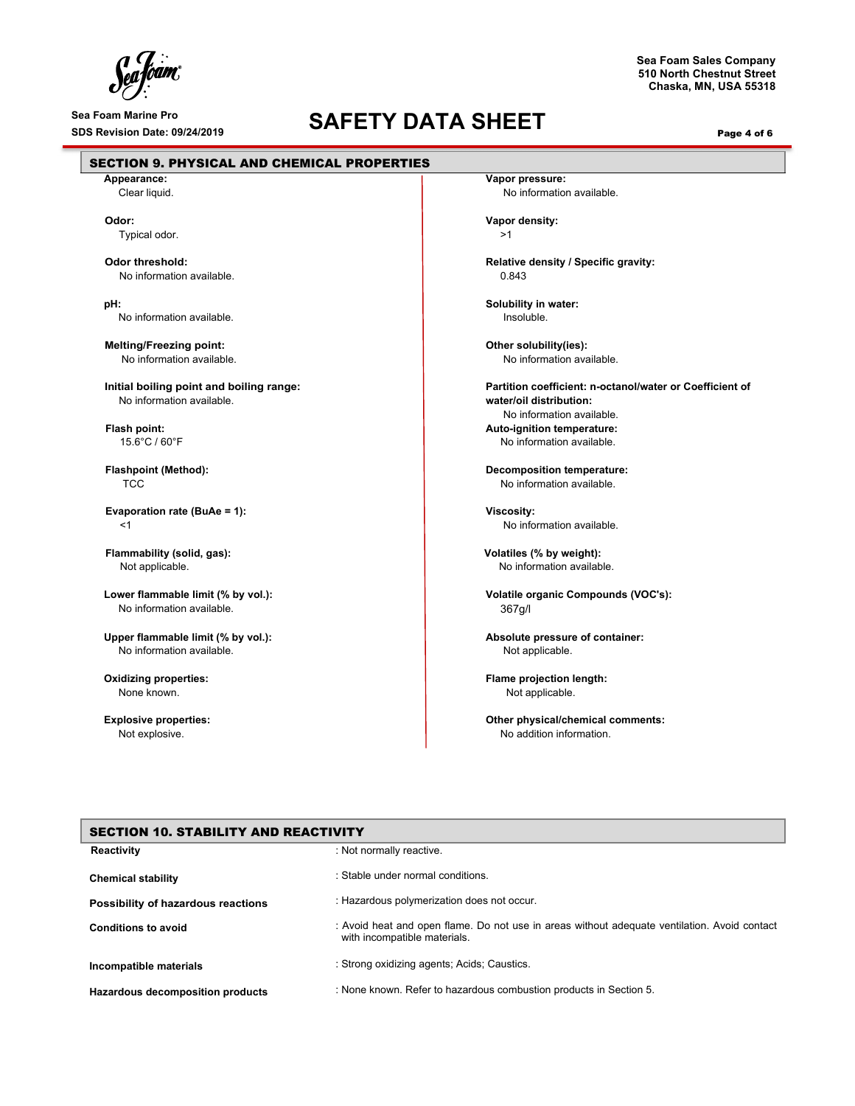$\int_{c}^{c}$ foam°

F

# Sea Foam Marine Pro<br>
SDS Revision Date: 09/24/2019<br> **SAFETY DATA SHEET**

**Sea Foam Sales Company 510 North Chestnut Street Chaska, MN, USA 55318**

Page 4 of 6

| Appearance:                              | Vapor pressure:                                          |
|------------------------------------------|----------------------------------------------------------|
| Clear liquid.                            | No information available.                                |
| Odor:                                    | Vapor density:                                           |
| Typical odor.                            | >1                                                       |
| Odor threshold:                          | Relative density / Specific gravity:                     |
| No information available.                | 0.843                                                    |
| pH:                                      | Solubility in water:                                     |
| No information available.                | Insoluble.                                               |
| <b>Melting/Freezing point:</b>           | Other solubility(ies):                                   |
| No information available.                | No information available.                                |
| Initial boiling point and boiling range: | Partition coefficient: n-octanol/water or Coefficient of |
| No information available.                | water/oil distribution:                                  |
|                                          | No information available.                                |
| Flash point:                             | Auto-ignition temperature:                               |
| 15.6°C / 60°F                            | No information available.                                |
| <b>Flashpoint (Method):</b>              | <b>Decomposition temperature:</b>                        |
| <b>TCC</b>                               | No information available.                                |
| Evaporation rate (BuAe = 1):             | <b>Viscosity:</b>                                        |
| $<$ 1                                    | No information available.                                |
| Flammability (solid, gas):               | Volatiles (% by weight):                                 |
| Not applicable.                          | No information available.                                |
| Lower flammable limit (% by vol.):       | Volatile organic Compounds (VOC's):                      |
| No information available.                | 367g/l                                                   |
| Upper flammable limit (% by vol.):       | Absolute pressure of container:                          |
| No information available.                | Not applicable.                                          |
| <b>Oxidizing properties:</b>             | Flame projection length:                                 |
| None known.                              | Not applicable.                                          |
| <b>Explosive properties:</b>             | Other physical/chemical comments:                        |
| Not explosive.                           | No addition information.                                 |
|                                          |                                                          |
|                                          |                                                          |
|                                          |                                                          |

| SECTION TO, STADILITT AND REACTIVITT |                                                                                                                              |  |
|--------------------------------------|------------------------------------------------------------------------------------------------------------------------------|--|
| Reactivity                           | : Not normally reactive.                                                                                                     |  |
| <b>Chemical stability</b>            | : Stable under normal conditions.                                                                                            |  |
| Possibility of hazardous reactions   | : Hazardous polymerization does not occur.                                                                                   |  |
| <b>Conditions to avoid</b>           | : Avoid heat and open flame. Do not use in areas without adequate ventilation. Avoid contact<br>with incompatible materials. |  |
| Incompatible materials               | : Strong oxidizing agents; Acids; Caustics.                                                                                  |  |
| Hazardous decomposition products     | : None known. Refer to hazardous combustion products in Section 5.                                                           |  |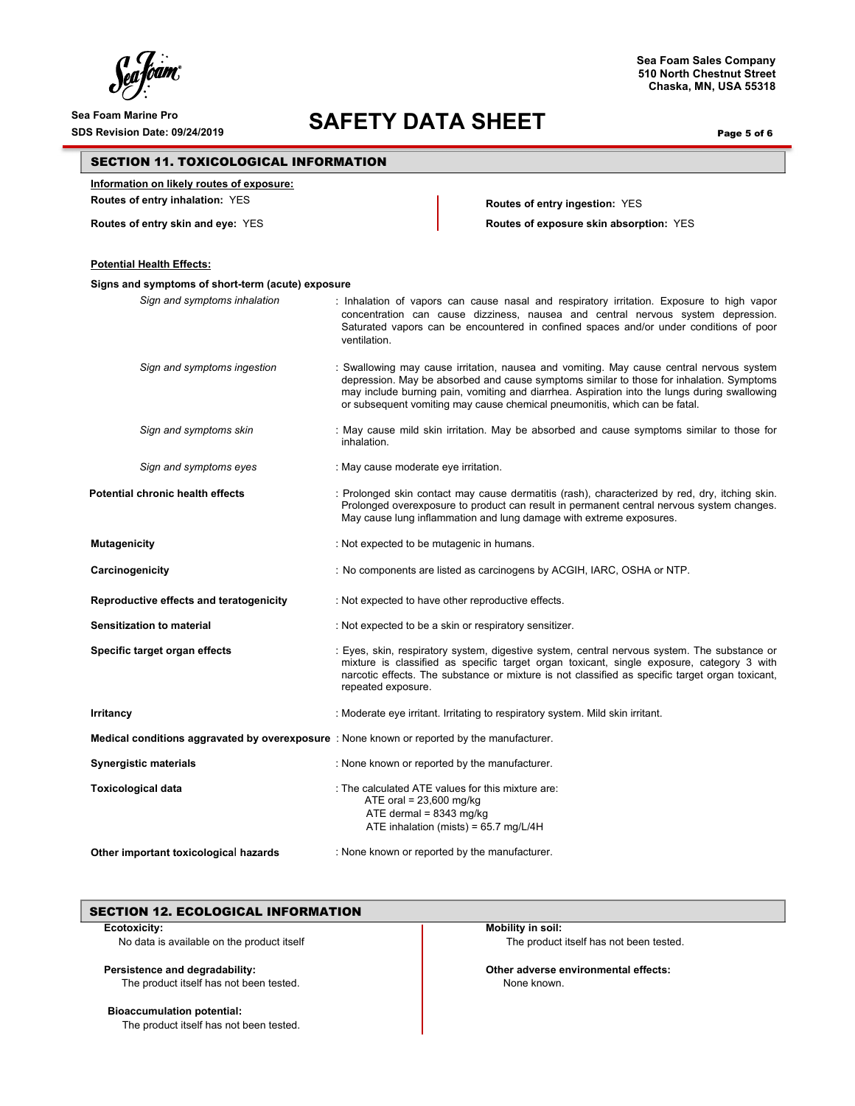### Sea Foam Marine Pro<br>SDS Revision Date: 09/24/2019<br>**SAFETY DATA SHEET**

**Sea Foam Sales Company 510 North Chestnut Street Chaska, MN, USA 55318**

Page 5 of 6

### SECTION 11. TOXICOLOGICAL INFORMATION

**Information on likely routes of exposure:** 

**Routes of entry inhalation:** YES **Routes of entry ingestion:** YES

**Routes of entry skin and eye:** YES **Routes of exposure skin absorption:** YES

| <b>Potential Health Effects:</b>                  |                                                                                                                                                                                                                                                                                                                                                                    |
|---------------------------------------------------|--------------------------------------------------------------------------------------------------------------------------------------------------------------------------------------------------------------------------------------------------------------------------------------------------------------------------------------------------------------------|
| Signs and symptoms of short-term (acute) exposure |                                                                                                                                                                                                                                                                                                                                                                    |
| Sign and symptoms inhalation                      | : Inhalation of vapors can cause nasal and respiratory irritation. Exposure to high vapor<br>concentration can cause dizziness, nausea and central nervous system depression.<br>Saturated vapors can be encountered in confined spaces and/or under conditions of poor<br>ventilation.                                                                            |
| Sign and symptoms ingestion                       | : Swallowing may cause irritation, nausea and vomiting. May cause central nervous system<br>depression. May be absorbed and cause symptoms similar to those for inhalation. Symptoms<br>may include burning pain, vomiting and diarrhea. Aspiration into the lungs during swallowing<br>or subsequent vomiting may cause chemical pneumonitis, which can be fatal. |
| Sign and symptoms skin                            | : May cause mild skin irritation. May be absorbed and cause symptoms similar to those for<br>inhalation.                                                                                                                                                                                                                                                           |
| Sign and symptoms eyes                            | : May cause moderate eye irritation.                                                                                                                                                                                                                                                                                                                               |
| Potential chronic health effects                  | : Prolonged skin contact may cause dermatitis (rash), characterized by red, dry, itching skin.<br>Prolonged overexposure to product can result in permanent central nervous system changes.<br>May cause lung inflammation and lung damage with extreme exposures.                                                                                                 |
| <b>Mutagenicity</b>                               | : Not expected to be mutagenic in humans.                                                                                                                                                                                                                                                                                                                          |
| Carcinogenicity                                   | : No components are listed as carcinogens by ACGIH, IARC, OSHA or NTP.                                                                                                                                                                                                                                                                                             |
| Reproductive effects and teratogenicity           | : Not expected to have other reproductive effects.                                                                                                                                                                                                                                                                                                                 |
| <b>Sensitization to material</b>                  | : Not expected to be a skin or respiratory sensitizer.                                                                                                                                                                                                                                                                                                             |
| Specific target organ effects                     | : Eyes, skin, respiratory system, digestive system, central nervous system. The substance or<br>mixture is classified as specific target organ toxicant, single exposure, category 3 with<br>narcotic effects. The substance or mixture is not classified as specific target organ toxicant,<br>repeated exposure.                                                 |
| Irritancy                                         | : Moderate eye irritant. Irritating to respiratory system. Mild skin irritant.                                                                                                                                                                                                                                                                                     |
|                                                   | Medical conditions aggravated by overexposure : None known or reported by the manufacturer.                                                                                                                                                                                                                                                                        |
| <b>Synergistic materials</b>                      | : None known or reported by the manufacturer.                                                                                                                                                                                                                                                                                                                      |
| <b>Toxicological data</b>                         | : The calculated ATE values for this mixture are:<br>ATE oral = $23,600$ mg/kg<br>ATE dermal = $8343$ mg/kg<br>ATE inhalation (mists) = $65.7$ mg/L/4H                                                                                                                                                                                                             |
| Other important toxicological hazards             | : None known or reported by the manufacturer.                                                                                                                                                                                                                                                                                                                      |

### SECTION 12. ECOLOGICAL INFORMATION

#### **Ecotoxicity:**

No data is available on the product itself

### **Persistence and degradability:**

The product itself has not been tested.

### **Bioaccumulation potential:**

The product itself has not been tested.

**Mobility in soil:** The product itself has not been tested.

**Other adverse environmental effects:** None known.